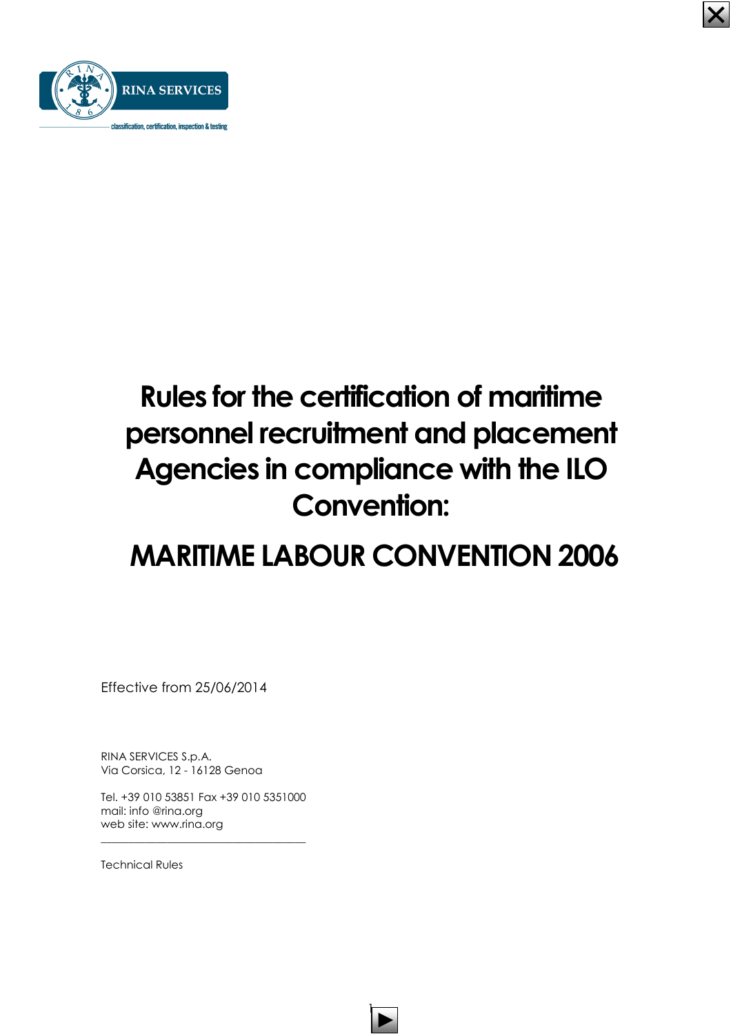

# Rules for the certification of maritime personnel recruitment and placement Agencies in compliance with the ILO Convention:

## MARITIME LABOUR CONVENTION 2006

 $\mathsf T$ 

Effective from 25/06/2014

RINA SERVICES S.p.A. Via Corsica, 12 - 16128 Genoa

Tel. +39 010 53851 Fax +39 010 5351000 mail: info @rina.org web site: www.rina.org

\_\_\_\_\_\_\_\_\_\_\_\_\_\_\_\_\_\_\_\_\_\_\_\_\_\_\_\_\_\_\_\_\_\_\_\_\_

Technical Rules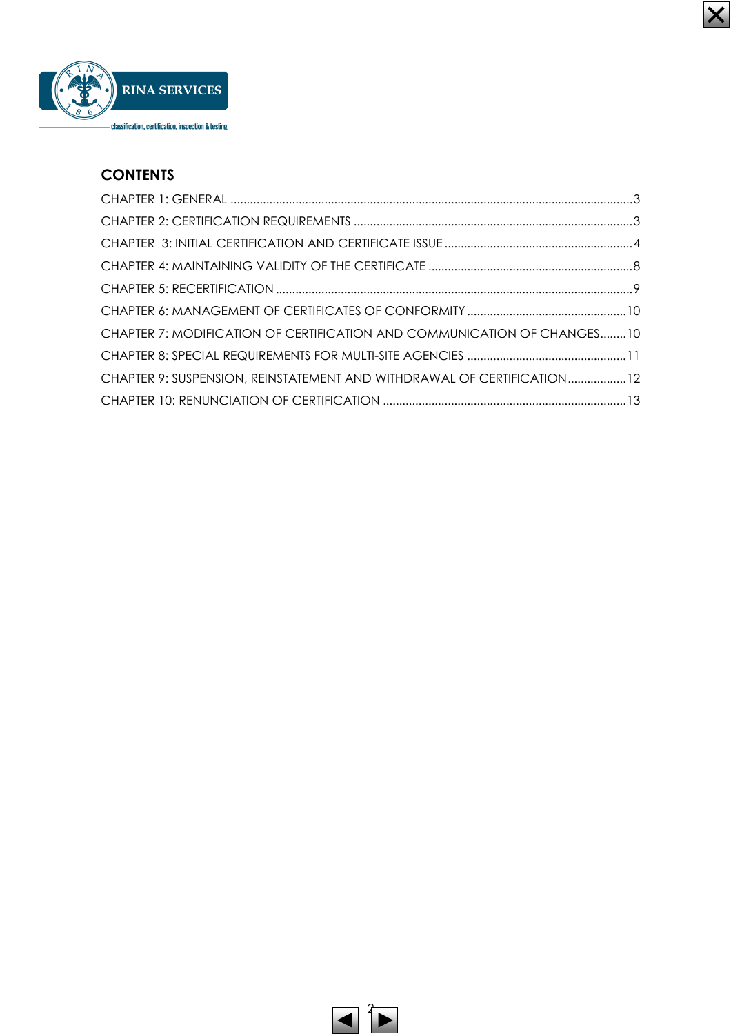

## **CONTENTS**

| CHAPTER 7: MODIFICATION OF CERTIFICATION AND COMMUNICATION OF CHANGES10 |  |
|-------------------------------------------------------------------------|--|
|                                                                         |  |
| CHAPTER 9: SUSPENSION, REINSTATEMENT AND WITHDRAWAL OF CERTIFICATION12  |  |
|                                                                         |  |

 $\vert\boldsymbol{\mathsf{X}}\vert$ 

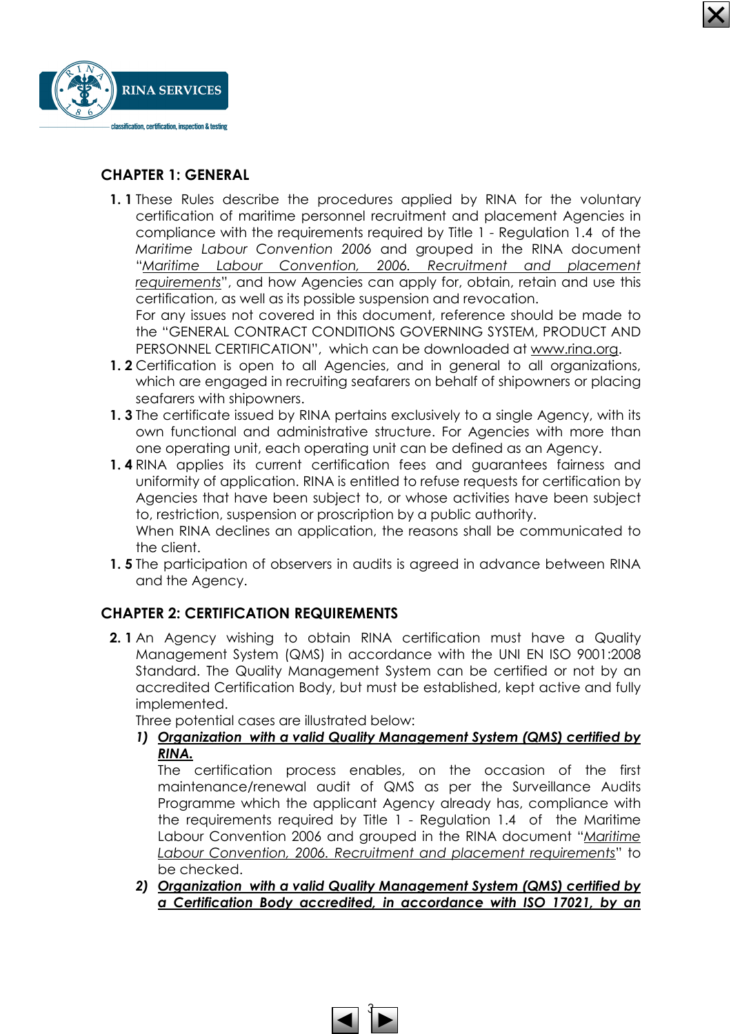

### CHAPTER 1: GENERAL

1. 1 These Rules describe the procedures applied by RINA for the voluntary certification of maritime personnel recruitment and placement Agencies in compliance with the requirements required by Title 1 - Regulation 1.4 of the Maritime Labour Convention 2006 and grouped in the RINA document "Maritime Labour Convention, 2006. Recruitment and placement requirements", and how Agencies can apply for, obtain, retain and use this certification, as well as its possible suspension and revocation. For any issues not covered in this document, reference should be made to

the "GENERAL CONTRACT CONDITIONS GOVERNING SYSTEM, PRODUCT AND PERSONNEL CERTIFICATION", which can be downloaded at www.rina.org.

- 1.2 Certification is open to all Agencies, and in general to all organizations, which are engaged in recruiting seafarers on behalf of shipowners or placing seafarers with shipowners.
- 1. 3 The certificate issued by RINA pertains exclusively to a single Agency, with its own functional and administrative structure. For Agencies with more than one operating unit, each operating unit can be defined as an Agency.
- 1.4 RINA applies its current certification fees and guarantees fairness and uniformity of application. RINA is entitled to refuse requests for certification by Agencies that have been subject to, or whose activities have been subject to, restriction, suspension or proscription by a public authority. When RINA declines an application, the reasons shall be communicated to
- the client. **1.5** The participation of observers in audits is agreed in advance between RINA and the Agency.

## CHAPTER 2: CERTIFICATION REQUIREMENTS

2. 1 An Agency wishing to obtain RINA certification must have a Quality Management System (QMS) in accordance with the UNI EN ISO 9001:2008 Standard. The Quality Management System can be certified or not by an accredited Certification Body, but must be established, kept active and fully implemented.

Three potential cases are illustrated below:

1) Organization with a valid Quality Management System (QMS) certified by RINA.

The certification process enables, on the occasion of the first maintenance/renewal audit of QMS as per the Surveillance Audits Programme which the applicant Agency already has, compliance with the requirements required by Title 1 - Regulation 1.4 of the Maritime Labour Convention 2006 and grouped in the RINA document "Maritime Labour Convention, 2006. Recruitment and placement requirements" to be checked.

2) Organization with a valid Quality Management System (QMS) certified by a Certification Body accredited, in accordance with ISO 17021, by an

ने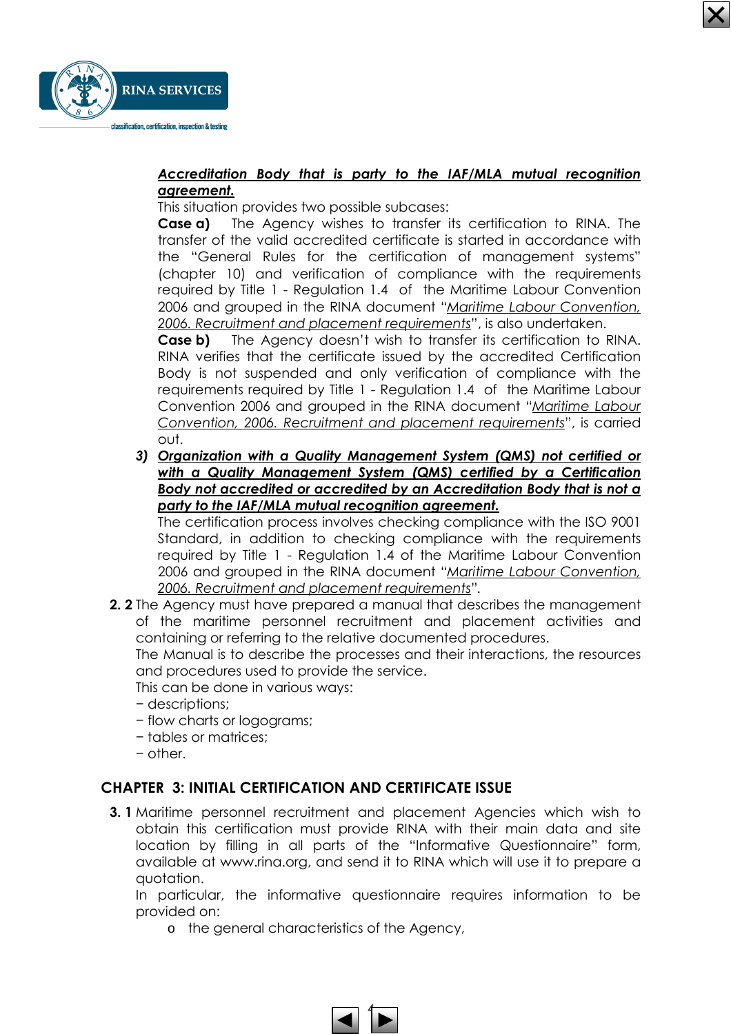



#### Accreditation Body that is party to the IAF/MLA mutual recognition agreement.

This situation provides two possible subcases:

**Case a)** The Agency wishes to transfer its certification to RINA. The transfer of the valid accredited certificate is started in accordance with the "General Rules for the certification of management systems" (chapter 10) and verification of compliance with the requirements required by Title 1 - Regulation 1.4 of the Maritime Labour Convention 2006 and grouped in the RINA document "Maritime Labour Convention, 2006. Recruitment and placement requirements", is also undertaken.

**Case b)** The Agency doesn't wish to transfer its certification to RINA. RINA verifies that the certificate issued by the accredited Certification Body is not suspended and only verification of compliance with the requirements required by Title 1 - Regulation 1.4 of the Maritime Labour Convention 2006 and grouped in the RINA document "Maritime Labour Convention, 2006. Recruitment and placement requirements", is carried out.

3) Organization with a Quality Management System (QMS) not certified or with a Quality Management System (QMS) certified by a Certification Body not accredited or accredited by an Accreditation Body that is not a party to the IAF/MLA mutual recognition agreement.

The certification process involves checking compliance with the ISO 9001 Standard, in addition to checking compliance with the requirements required by Title 1 - Regulation 1.4 of the Maritime Labour Convention 2006 and grouped in the RINA document "Maritime Labour Convention, 2006. Recruitment and placement requirements".

2. 2 The Agency must have prepared a manual that describes the management of the maritime personnel recruitment and placement activities and containing or referring to the relative documented procedures.

The Manual is to describe the processes and their interactions, the resources and procedures used to provide the service.

This can be done in various ways:

- − descriptions;
- − flow charts or logograms;
- − tables or matrices;
- − other.

## CHAPTER 3: INITIAL CERTIFICATION AND CERTIFICATE ISSUE

3. 1 Maritime personnel recruitment and placement Agencies which wish to obtain this certification must provide RINA with their main data and site location by filling in all parts of the "Informative Questionnaire" form, available at www.rina.org, and send it to RINA which will use it to prepare a quotation.

In particular, the informative questionnaire requires information to be provided on:

o the general characteristics of the Agency,

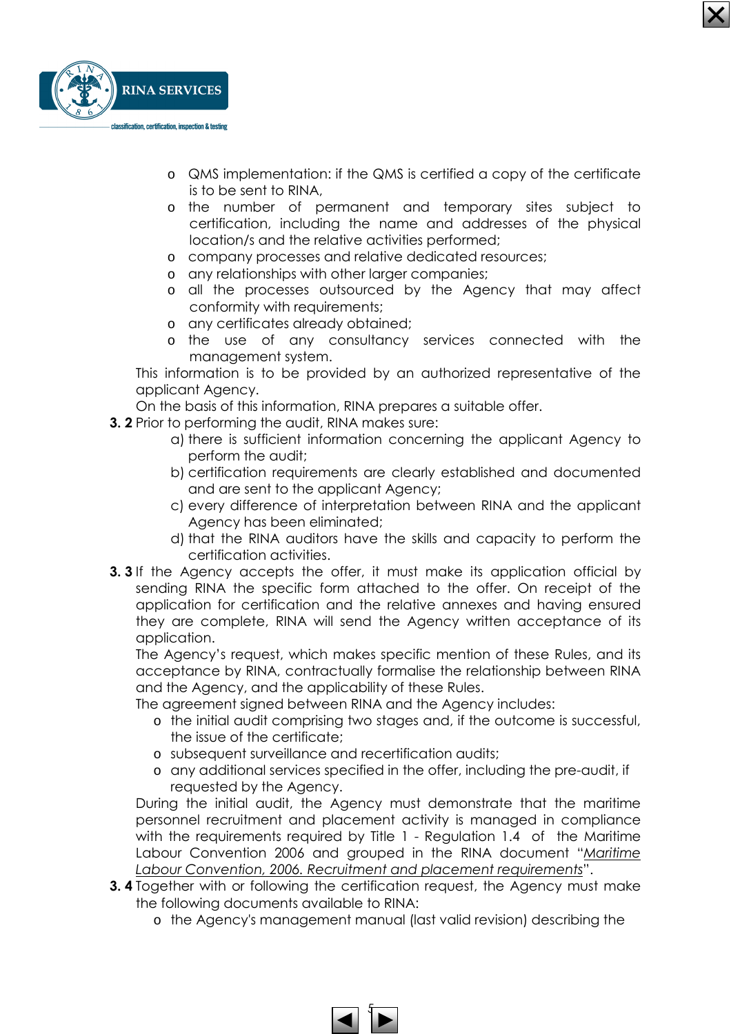

- o QMS implementation: if the QMS is certified a copy of the certificate is to be sent to RINA,
- o the number of permanent and temporary sites subject to certification, including the name and addresses of the physical location/s and the relative activities performed;
- o company processes and relative dedicated resources;
- o any relationships with other larger companies;
- o all the processes outsourced by the Agency that may affect conformity with requirements;
- o any certificates already obtained;
- o the use of any consultancy services connected with the management system.

This information is to be provided by an authorized representative of the applicant Agency.

On the basis of this information, RINA prepares a suitable offer.

- 3. 2 Prior to performing the audit, RINA makes sure:
	- a) there is sufficient information concerning the applicant Agency to perform the audit;
	- b) certification requirements are clearly established and documented and are sent to the applicant Agency;
	- c) every difference of interpretation between RINA and the applicant Agency has been eliminated;
	- d) that the RINA auditors have the skills and capacity to perform the certification activities.
- **3. 3** If the Agency accepts the offer, it must make its application official by sending RINA the specific form attached to the offer. On receipt of the application for certification and the relative annexes and having ensured they are complete, RINA will send the Agency written acceptance of its application.

The Agency's request, which makes specific mention of these Rules, and its acceptance by RINA, contractually formalise the relationship between RINA and the Agency, and the applicability of these Rules.

The agreement signed between RINA and the Agency includes:

- o the initial audit comprising two stages and, if the outcome is successful, the issue of the certificate;
- o subsequent surveillance and recertification audits;
- o any additional services specified in the offer, including the pre-audit, if requested by the Agency.

During the initial audit, the Agency must demonstrate that the maritime personnel recruitment and placement activity is managed in compliance with the requirements required by Title 1 - Regulation 1.4 of the Maritime Labour Convention 2006 and grouped in the RINA document "Maritime Labour Convention, 2006. Recruitment and placement requirements".

- **3.4** Together with or following the certification request, the Agency must make the following documents available to RINA:
	- o the Agency's management manual (last valid revision) describing the

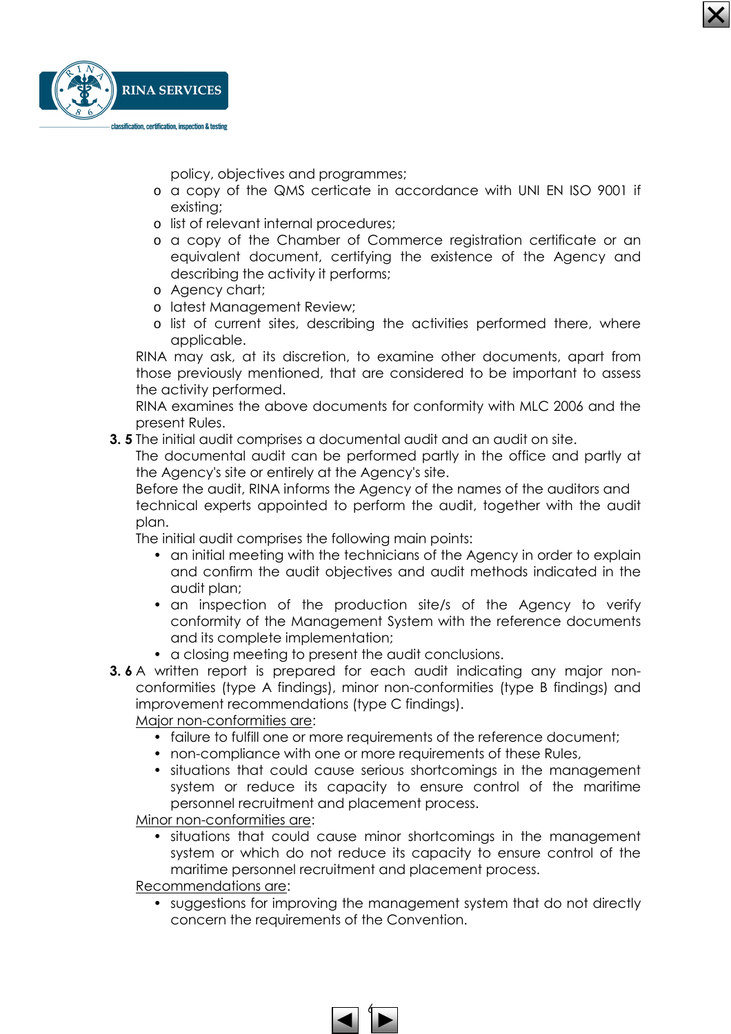

policy, objectives and programmes;

- o a copy of the QMS certicate in accordance with UNI EN ISO 9001 if existing;
- o list of relevant internal procedures;
- o a copy of the Chamber of Commerce registration certificate or an equivalent document, certifying the existence of the Agency and describing the activity it performs;
- o Agency chart;
- o latest Management Review;
- o list of current sites, describing the activities performed there, where applicable.

RINA may ask, at its discretion, to examine other documents, apart from those previously mentioned, that are considered to be important to assess the activity performed.

RINA examines the above documents for conformity with MLC 2006 and the present Rules.

3. 5 The initial audit comprises a documental audit and an audit on site.

The documental audit can be performed partly in the office and partly at the Agency's site or entirely at the Agency's site.

Before the audit, RINA informs the Agency of the names of the auditors and technical experts appointed to perform the audit, together with the audit plan.

The initial audit comprises the following main points:

- an initial meeting with the technicians of the Agency in order to explain and confirm the audit objectives and audit methods indicated in the audit plan;
- an inspection of the production site/s of the Agency to verify conformity of the Management System with the reference documents and its complete implementation;
- a closing meeting to present the audit conclusions.
- **3.6** A written report is prepared for each audit indicating any major nonconformities (type A findings), minor non-conformities (type B findings) and improvement recommendations (type C findings).

Major non-conformities are:

- failure to fulfill one or more requirements of the reference document;
- non-compliance with one or more requirements of these Rules,
- situations that could cause serious shortcomings in the management system or reduce its capacity to ensure control of the maritime personnel recruitment and placement process.

Minor non-conformities are:

• situations that could cause minor shortcomings in the management system or which do not reduce its capacity to ensure control of the maritime personnel recruitment and placement process.

Recommendations are:

• suggestions for improving the management system that do not directly concern the requirements of the Convention.

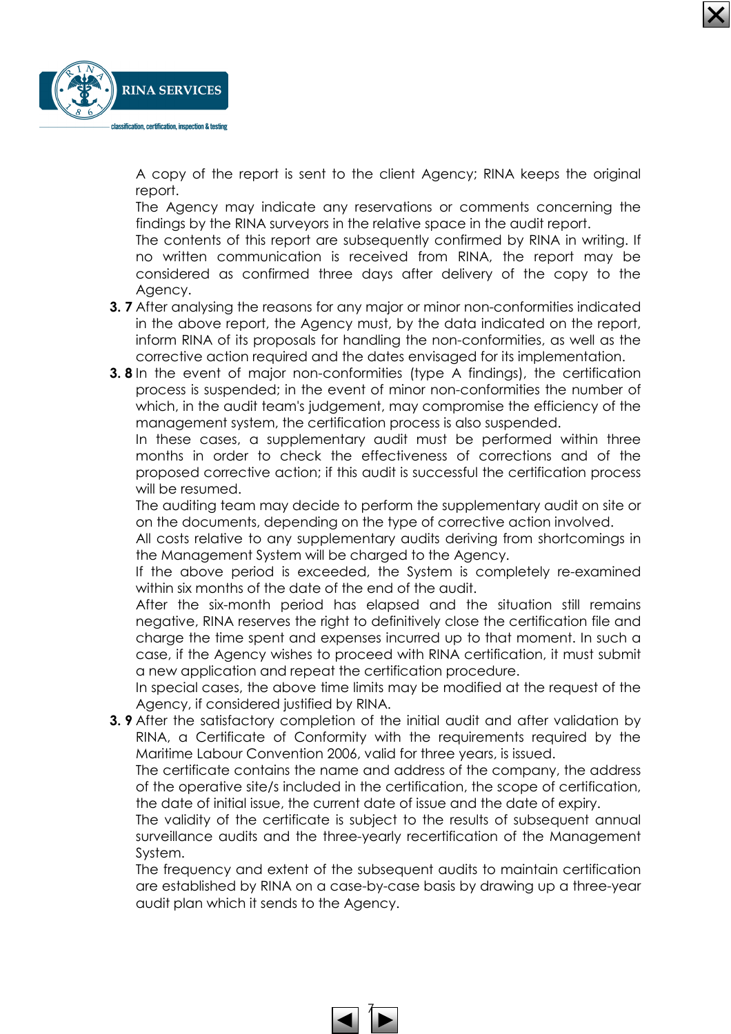

A copy of the report is sent to the client Agency; RINA keeps the original report.

The Agency may indicate any reservations or comments concerning the findings by the RINA surveyors in the relative space in the audit report.

The contents of this report are subsequently confirmed by RINA in writing. If no written communication is received from RINA, the report may be considered as confirmed three days after delivery of the copy to the Agency.

- 3. 7 After analysing the reasons for any major or minor non-conformities indicated in the above report, the Agency must, by the data indicated on the report, inform RINA of its proposals for handling the non-conformities, as well as the corrective action required and the dates envisaged for its implementation.
- **3.8** In the event of major non-conformities (type A findings), the certification process is suspended; in the event of minor non-conformities the number of which, in the audit team's judgement, may compromise the efficiency of the management system, the certification process is also suspended.

In these cases, a supplementary audit must be performed within three months in order to check the effectiveness of corrections and of the proposed corrective action; if this audit is successful the certification process will be resumed.

The auditing team may decide to perform the supplementary audit on site or on the documents, depending on the type of corrective action involved.

All costs relative to any supplementary audits deriving from shortcomings in the Management System will be charged to the Agency.

If the above period is exceeded, the System is completely re-examined within six months of the date of the end of the audit.

After the six-month period has elapsed and the situation still remains negative, RINA reserves the right to definitively close the certification file and charge the time spent and expenses incurred up to that moment. In such a case, if the Agency wishes to proceed with RINA certification, it must submit a new application and repeat the certification procedure.

In special cases, the above time limits may be modified at the request of the Agency, if considered justified by RINA.

**3. 9** After the satisfactory completion of the initial audit and after validation by RINA, a Certificate of Conformity with the requirements required by the Maritime Labour Convention 2006, valid for three years, is issued.

The certificate contains the name and address of the company, the address of the operative site/s included in the certification, the scope of certification, the date of initial issue, the current date of issue and the date of expiry.

The validity of the certificate is subject to the results of subsequent annual surveillance audits and the three-yearly recertification of the Management System.

The frequency and extent of the subsequent audits to maintain certification are established by RINA on a case-by-case basis by drawing up a three-year audit plan which it sends to the Agency.

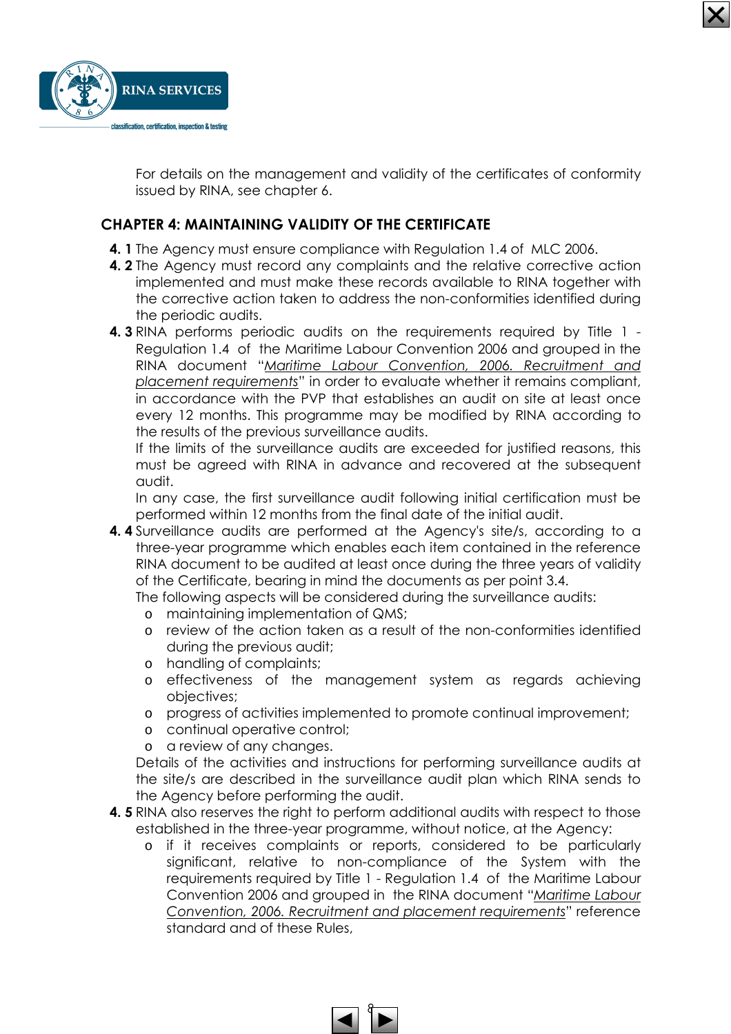



For details on the management and validity of the certificates of conformity issued by RINA, see chapter 6.

## CHAPTER 4: MAINTAINING VALIDITY OF THE CERTIFICATE

- 4. 1 The Agency must ensure compliance with Regulation 1.4 of MLC 2006.
- 4. 2 The Agency must record any complaints and the relative corrective action implemented and must make these records available to RINA together with the corrective action taken to address the non-conformities identified during the periodic audits.
- 4. 3 RINA performs periodic audits on the requirements required by Title 1 Regulation 1.4 of the Maritime Labour Convention 2006 and grouped in the RINA document "Maritime Labour Convention, 2006. Recruitment and placement requirements" in order to evaluate whether it remains compliant, in accordance with the PVP that establishes an audit on site at least once every 12 months. This programme may be modified by RINA according to the results of the previous surveillance audits.

If the limits of the surveillance audits are exceeded for justified reasons, this must be agreed with RINA in advance and recovered at the subsequent audit.

In any case, the first surveillance audit following initial certification must be performed within 12 months from the final date of the initial audit.

4. 4 Surveillance audits are performed at the Agency's site/s, according to a three-year programme which enables each item contained in the reference RINA document to be audited at least once during the three years of validity of the Certificate, bearing in mind the documents as per point 3.4.

The following aspects will be considered during the surveillance audits:

- o maintaining implementation of QMS;
- o review of the action taken as a result of the non-conformities identified during the previous audit;
- o handling of complaints;
- o effectiveness of the management system as regards achieving objectives;
- o progress of activities implemented to promote continual improvement;
- o continual operative control;
- o a review of any changes.

Details of the activities and instructions for performing surveillance audits at the site/s are described in the surveillance audit plan which RINA sends to the Agency before performing the audit.

- 4. 5 RINA also reserves the right to perform additional audits with respect to those established in the three-year programme, without notice, at the Agency:
	- o if it receives complaints or reports, considered to be particularly significant, relative to non-compliance of the System with the requirements required by Title 1 - Regulation 1.4 of the Maritime Labour Convention 2006 and grouped in the RINA document "Maritime Labour Convention, 2006. Recruitment and placement requirements" reference standard and of these Rules,

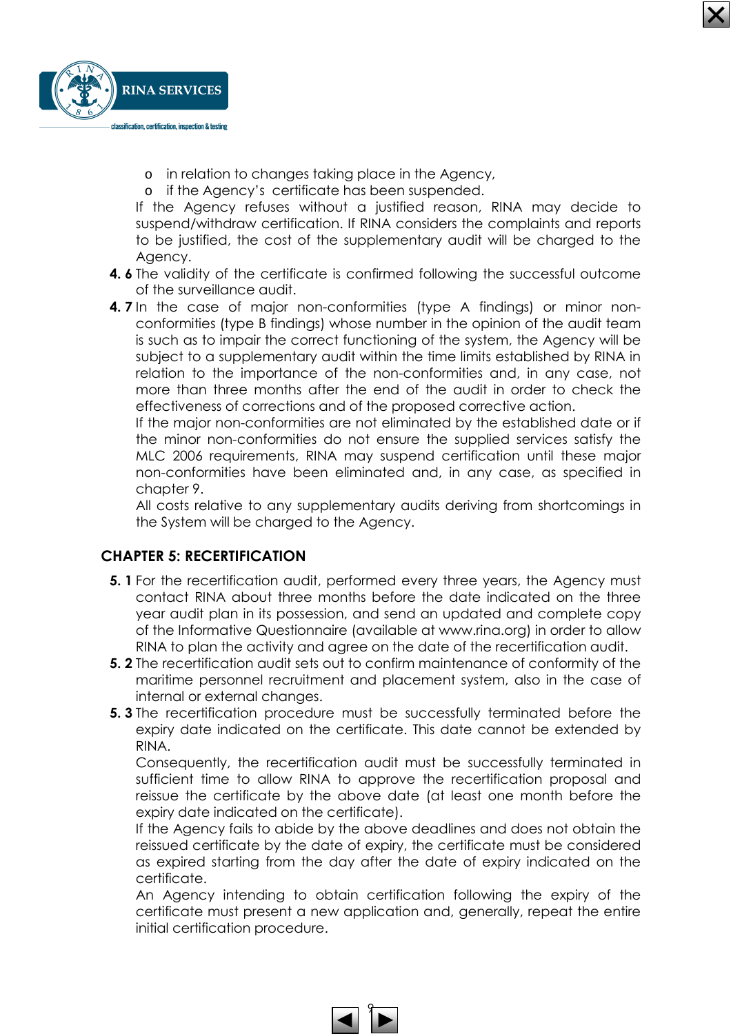

- o in relation to changes taking place in the Agency,
- o if the Agency's certificate has been suspended.

If the Agency refuses without a justified reason, RINA may decide to suspend/withdraw certification. If RINA considers the complaints and reports to be justified, the cost of the supplementary audit will be charged to the Agency.

- 4. 6 The validity of the certificate is confirmed following the successful outcome of the surveillance audit.
- 4. 7 In the case of major non-conformities (type A findings) or minor nonconformities (type B findings) whose number in the opinion of the audit team is such as to impair the correct functioning of the system, the Agency will be subject to a supplementary audit within the time limits established by RINA in relation to the importance of the non-conformities and, in any case, not more than three months after the end of the audit in order to check the effectiveness of corrections and of the proposed corrective action.

If the major non-conformities are not eliminated by the established date or if the minor non-conformities do not ensure the supplied services satisfy the MLC 2006 requirements, RINA may suspend certification until these major non-conformities have been eliminated and, in any case, as specified in chapter 9.

All costs relative to any supplementary audits deriving from shortcomings in the System will be charged to the Agency.

#### CHAPTER 5: RECERTIFICATION

- **5. 1** For the recertification audit, performed every three years, the Agency must contact RINA about three months before the date indicated on the three year audit plan in its possession, and send an updated and complete copy of the Informative Questionnaire (available at www.rina.org) in order to allow RINA to plan the activity and agree on the date of the recertification audit.
- 5. 2 The recertification audit sets out to confirm maintenance of conformity of the maritime personnel recruitment and placement system, also in the case of internal or external changes.
- 5. 3 The recertification procedure must be successfully terminated before the expiry date indicated on the certificate. This date cannot be extended by RINA.

Consequently, the recertification audit must be successfully terminated in sufficient time to allow RINA to approve the recertification proposal and reissue the certificate by the above date (at least one month before the expiry date indicated on the certificate).

If the Agency fails to abide by the above deadlines and does not obtain the reissued certificate by the date of expiry, the certificate must be considered as expired starting from the day after the date of expiry indicated on the certificate.

An Agency intending to obtain certification following the expiry of the certificate must present a new application and, generally, repeat the entire initial certification procedure.

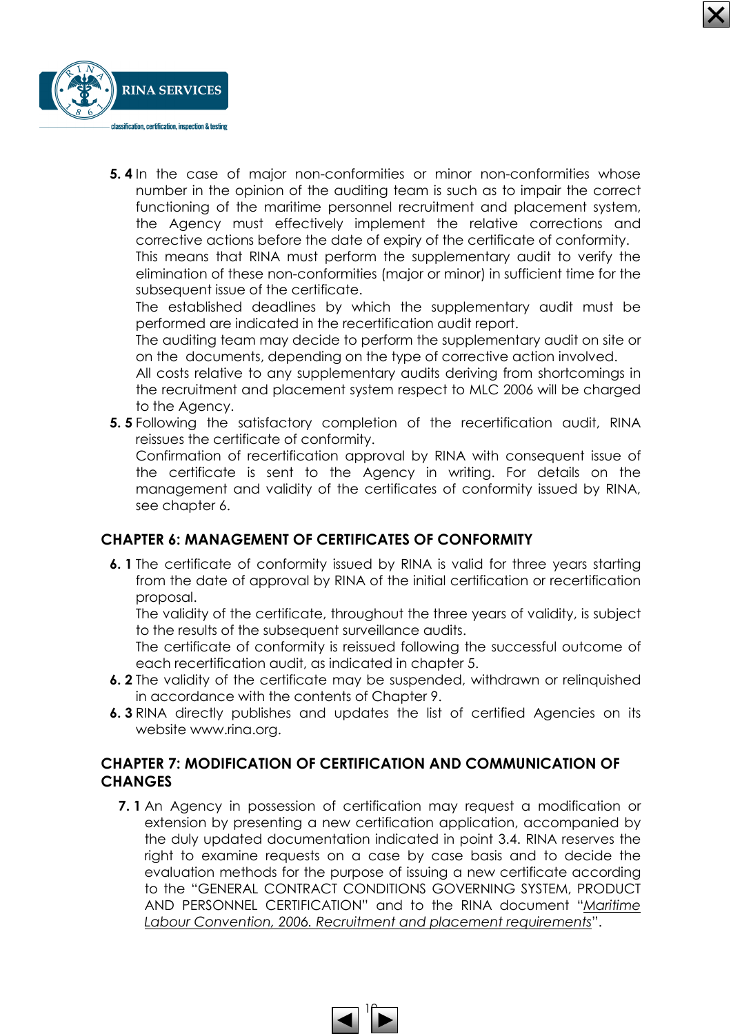

5. 4 In the case of major non-conformities or minor non-conformities whose number in the opinion of the auditing team is such as to impair the correct functioning of the maritime personnel recruitment and placement system, the Agency must effectively implement the relative corrections and corrective actions before the date of expiry of the certificate of conformity.

This means that RINA must perform the supplementary audit to verify the elimination of these non-conformities (major or minor) in sufficient time for the subsequent issue of the certificate.

The established deadlines by which the supplementary audit must be performed are indicated in the recertification audit report.

The auditing team may decide to perform the supplementary audit on site or on the documents, depending on the type of corrective action involved.

All costs relative to any supplementary audits deriving from shortcomings in the recruitment and placement system respect to MLC 2006 will be charged to the Agency.

5. 5 Following the satisfactory completion of the recertification audit, RINA reissues the certificate of conformity.

Confirmation of recertification approval by RINA with consequent issue of the certificate is sent to the Agency in writing. For details on the management and validity of the certificates of conformity issued by RINA, see chapter 6.

## CHAPTER 6: MANAGEMENT OF CERTIFICATES OF CONFORMITY

6. 1 The certificate of conformity issued by RINA is valid for three years starting from the date of approval by RINA of the initial certification or recertification proposal.

The validity of the certificate, throughout the three years of validity, is subject to the results of the subsequent surveillance audits.

The certificate of conformity is reissued following the successful outcome of each recertification audit, as indicated in chapter 5.

- 6. 2 The validity of the certificate may be suspended, withdrawn or relinquished in accordance with the contents of Chapter 9.
- 6. 3 RINA directly publishes and updates the list of certified Agencies on its website www.rina.org.

### CHAPTER 7: MODIFICATION OF CERTIFICATION AND COMMUNICATION OF **CHANGES**

7. 1 An Agency in possession of certification may request a modification or extension by presenting a new certification application, accompanied by the duly updated documentation indicated in point 3.4. RINA reserves the right to examine requests on a case by case basis and to decide the evaluation methods for the purpose of issuing a new certificate according to the "GENERAL CONTRACT CONDITIONS GOVERNING SYSTEM, PRODUCT AND PERSONNEL CERTIFICATION" and to the RINA document "Maritime Labour Convention, 2006. Recruitment and placement requirements".

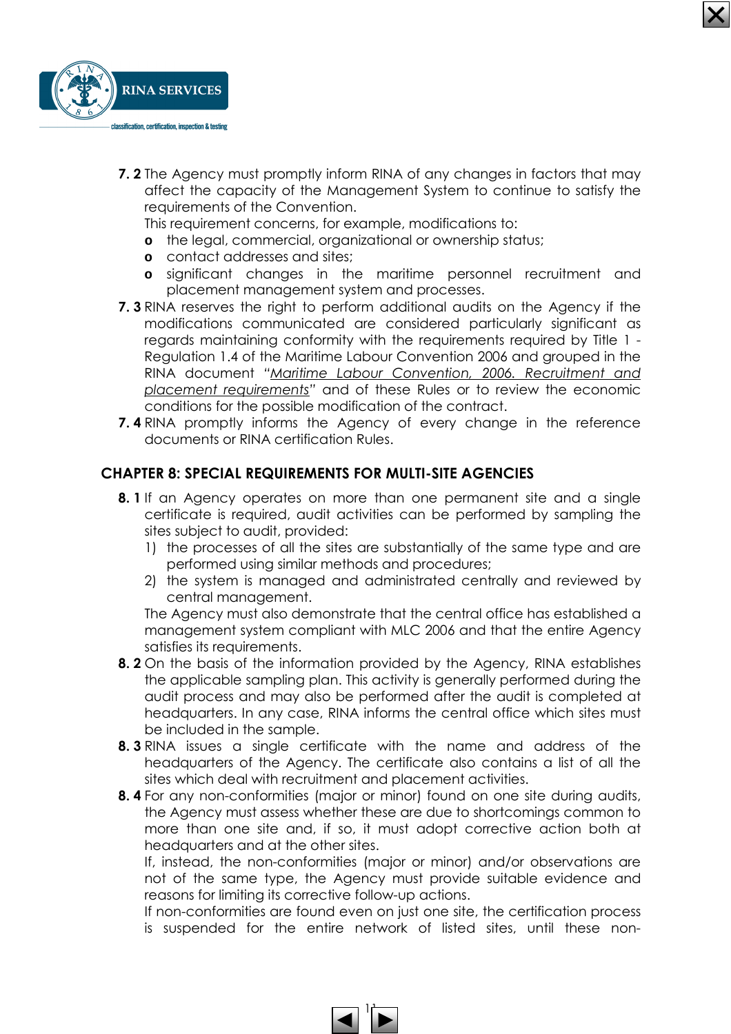

**7. 2** The Agency must promptly inform RINA of any changes in factors that may affect the capacity of the Management System to continue to satisfy the requirements of the Convention.

This requirement concerns, for example, modifications to:

- **o** the legal, commercial, organizational or ownership status;
- **o** contact addresses and sites;
- **o** significant changes in the maritime personnel recruitment and placement management system and processes.
- **7. 3** RINA reserves the right to perform additional audits on the Agency if the modifications communicated are considered particularly significant as regards maintaining conformity with the requirements required by Title 1 - Regulation 1.4 of the Maritime Labour Convention 2006 and grouped in the RINA document "Maritime Labour Convention, 2006. Recruitment and placement requirements" and of these Rules or to review the economic conditions for the possible modification of the contract.
- 7. 4 RINA promptly informs the Agency of every change in the reference documents or RINA certification Rules.

#### CHAPTER 8: SPECIAL REQUIREMENTS FOR MULTI-SITE AGENCIES

- 8. 1 If an Agency operates on more than one permanent site and a single certificate is required, audit activities can be performed by sampling the sites subject to audit, provided:
	- 1) the processes of all the sites are substantially of the same type and are performed using similar methods and procedures;
	- 2) the system is managed and administrated centrally and reviewed by central management.

The Agency must also demonstrate that the central office has established a management system compliant with MLC 2006 and that the entire Agency satisfies its requirements.

- 8. 2 On the basis of the information provided by the Agency, RINA establishes the applicable sampling plan. This activity is generally performed during the audit process and may also be performed after the audit is completed at headquarters. In any case, RINA informs the central office which sites must be included in the sample.
- 8. 3 RINA issues a single certificate with the name and address of the headquarters of the Agency. The certificate also contains a list of all the sites which deal with recruitment and placement activities.
- 8. 4 For any non-conformities (major or minor) found on one site during audits, the Agency must assess whether these are due to shortcomings common to more than one site and, if so, it must adopt corrective action both at headquarters and at the other sites.

If, instead, the non-conformities (major or minor) and/or observations are not of the same type, the Agency must provide suitable evidence and reasons for limiting its corrective follow-up actions.

If non-conformities are found even on just one site, the certification process is suspended for the entire network of listed sites, until these non-

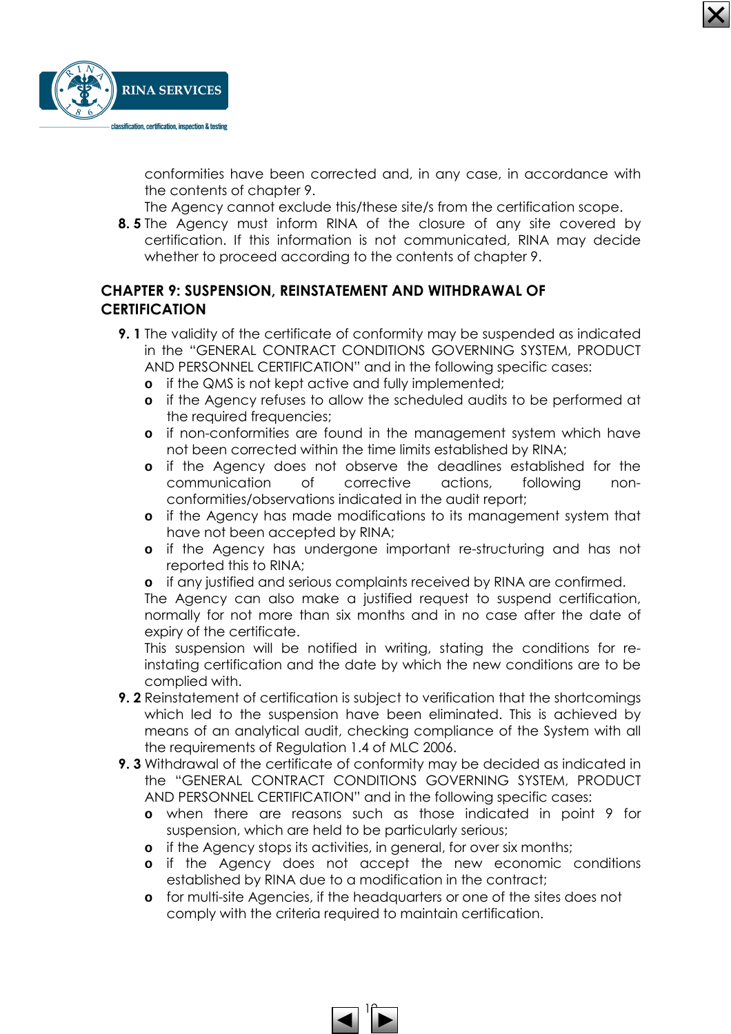

conformities have been corrected and, in any case, in accordance with the contents of chapter 9.

The Agency cannot exclude this/these site/s from the certification scope.

**8.5** The Agency must inform RINA of the closure of any site covered by certification. If this information is not communicated, RINA may decide whether to proceed according to the contents of chapter 9.

## CHAPTER 9: SUSPENSION, REINSTATEMENT AND WITHDRAWAL OF **CERTIFICATION**

- 9. 1 The validity of the certificate of conformity may be suspended as indicated in the "GENERAL CONTRACT CONDITIONS GOVERNING SYSTEM, PRODUCT AND PERSONNEL CERTIFICATION" and in the following specific cases:
	- **o** if the QMS is not kept active and fully implemented;
	- **o** if the Agency refuses to allow the scheduled audits to be performed at the required frequencies;
	- **o** if non-conformities are found in the management system which have not been corrected within the time limits established by RINA;
	- **o** if the Agency does not observe the deadlines established for the communication of corrective actions, following nonconformities/observations indicated in the audit report;
	- **o** if the Agency has made modifications to its management system that have not been accepted by RINA;
	- **o** if the Agency has undergone important re-structuring and has not reported this to RINA;
	- **o** if any justified and serious complaints received by RINA are confirmed.

The Agency can also make a justified request to suspend certification, normally for not more than six months and in no case after the date of expiry of the certificate.

This suspension will be notified in writing, stating the conditions for reinstating certification and the date by which the new conditions are to be complied with.

- 9. 2 Reinstatement of certification is subject to verification that the shortcomings which led to the suspension have been eliminated. This is achieved by means of an analytical audit, checking compliance of the System with all the requirements of Regulation 1.4 of MLC 2006.
- 9. 3 Withdrawal of the certificate of conformity may be decided as indicated in the "GENERAL CONTRACT CONDITIONS GOVERNING SYSTEM, PRODUCT AND PERSONNEL CERTIFICATION" and in the following specific cases:
	- **o** when there are reasons such as those indicated in point 9 for suspension, which are held to be particularly serious;
	- **o** if the Agency stops its activities, in general, for over six months;
	- **o** if the Agency does not accept the new economic conditions established by RINA due to a modification in the contract;
	- **o** for multi-site Agencies, if the headquarters or one of the sites does not comply with the criteria required to maintain certification.